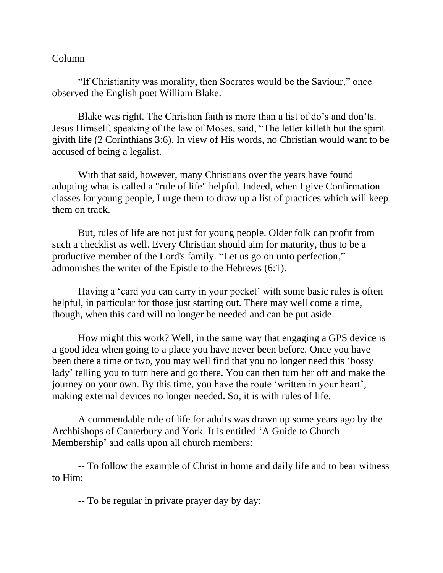## Column

"If Christianity was morality, then Socrates would be the Saviour," once observed the English poet William Blake.

Blake was right. The Christian faith is more than a list of do's and don'ts. Jesus Himself, speaking of the law of Moses, said, "The letter killeth but the spirit givith life (2 Corinthians 3:6). In view of His words, no Christian would want to be accused of being a legalist.

With that said, however, many Christians over the years have found adopting what is called a "rule of life" helpful. Indeed, when I give Confirmation classes for young people, I urge them to draw up a list of practices which will keep them on track.

But, rules of life are not just for young people. Older folk can profit from such a checklist as well. Every Christian should aim for maturity, thus to be a productive member of the Lord's family. "Let us go on unto perfection," admonishes the writer of the Epistle to the Hebrews (6:1).

Having a 'card you can carry in your pocket' with some basic rules is often helpful, in particular for those just starting out. There may well come a time, though, when this card will no longer be needed and can be put aside.

How might this work? Well, in the same way that engaging a GPS device is a good idea when going to a place you have never been before. Once you have been there a time or two, you may well find that you no longer need this 'bossy lady' telling you to turn here and go there. You can then turn her off and make the journey on your own. By this time, you have the route 'written in your heart', making external devices no longer needed. So, it is with rules of life.

A commendable rule of life for adults was drawn up some years ago by the Archbishops of Canterbury and York. It is entitled 'A Guide to Church Membership' and calls upon all church members:

-- To follow the example of Christ in home and daily life and to bear witness to Him;

-- To be regular in private prayer day by day: